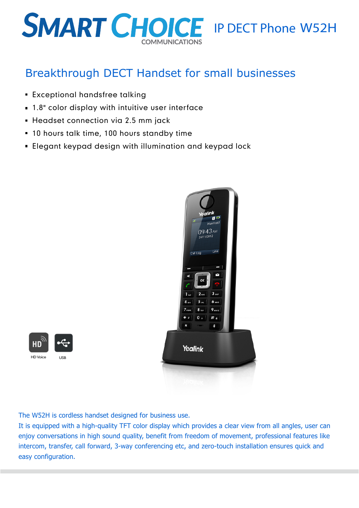# **SMART CHOICE** IP DECT Phone W52H

### Breakthrough DECT Handset for small businesses

- **Exceptional handsfree talking**
- 1.8" color display with intuitive user interface
- **Headset connection via 2.5 mm jack**
- **10 hours talk time, 100 hours standby time**
- Elegant keypad design with illumination and keypad lock





The W52H is cordless handset designed for business use.

It is equipped with a high-quality TFT color display which provides a clear view from all angles, user can enjoy conversations in high sound quality, benefit from freedom of movement, professional features like intercom, transfer, call forward, 3-way conferencing etc, and zero-touch installation ensures quick and easy configuration.